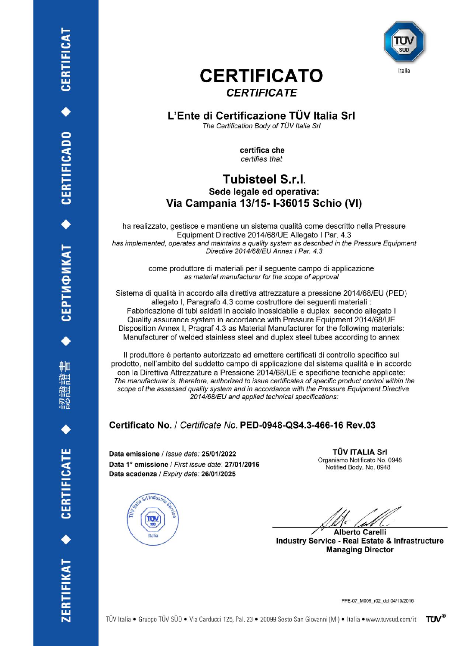

# **CERTIFICATO CERTIFICATE**

## L'Ente di Certificazione TÜV Italia Srl The Certification Body of TÜV Italia Srl

certifica che certifies that

# **Tubisteel S.r.l.** Sede legale ed operativa: Via Campania 13/15-1-36015 Schio (VI)

ha realizzato, gestisce e mantiene un sistema qualità come descritto nella Pressure Equipment Directive 2014/68/UE Allegato I Par. 4.3 has implemented, operates and maintains a quality system as described in the Pressure Equipment Directive 2014/68/EU Annex I Par. 4.3

> come produttore di materiali per il sequente campo di applicazione as material manufacturer for the scope of approval

Sistema di qualità in accordo alla direttiva attrezzature a pressione 2014/68/EU (PED) allegato I, Paragrafo 4.3 come costruttore dei seguenti materiali : Fabbricazione di tubi saldati in acciaio inossidabile e duplex secondo allegato I Quality assurance system in accordance with Pressure Equipment 2014/68/UE Disposition Annex I, Pragraf 4.3 as Material Manufacturer for the following materials: Manufacturer of welded stainless steel and duplex steel tubes according to annex

Il produttore è pertanto autorizzato ad emettere certificati di controllo specifico sul prodotto, nell'ambito del suddetto campo di applicazione del sistema qualità e in accordo con la Direttiva Attrezzature a Pressione 2014/68/UE e specifiche tecniche applicate: The manufacturer is, therefore, authorized to issue certificates of specific product control within the scope of the assessed quality system and in accordance with the Pressure Equipment Directive 2014/68/EU and applied technical specifications:

# Certificato No. / Certificate No. PED-0948-QS4.3-466-16 Rev.03

Data emissione / Issue date: 25/01/2022 Data 1° emissione / First issue date: 27/01/2016 Data scadenza / Expiry date: 26/01/2025



**TÜV ITALIA Srl** Organismo Notificato No. 0948 Notified Body, No. 0948

**Alberto Carelli** 

**Industry Service - Real Estate & Infrastructure Managing Director** 

PPE-07\_M009\_r02\_del 04/10/2016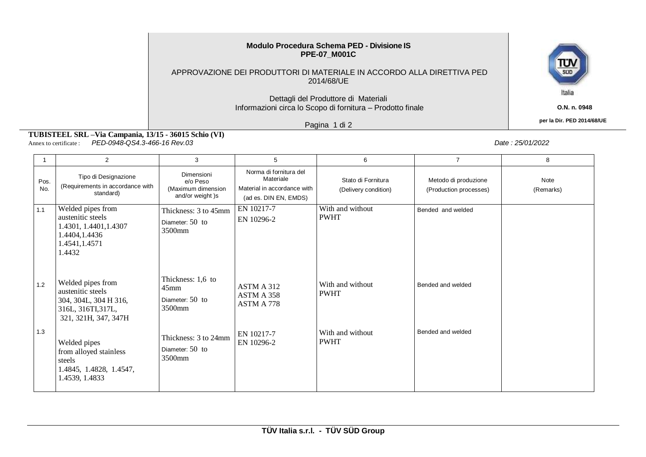#### **Modulo Procedura Schema PED - Divisione IS PPE-07\_M001C**

#### APPROVAZIONE DEI PRODUTTORI DI MATERIALE IN ACCORDO ALLA DIRETTIVA PED 2014/68/UE

## Dettagli del Produttore di Materiali Informazioni circa lo Scopo di fornitura – Prodotto finale

Pagina 1 di 2

 **per la Dir. PED 2014/68/UE**

**TUBISTEEL SRL –Via Campania, 13/15 - 36015 Schio (VI)** Annex to certificate : *PED-0948-QS4.3-466-16 Rev.03 Date : 25/01/2022*

|             | $\overline{2}$                                                                                                | 3                                                                      | 5                                                                                           | 6                                          | $\overline{7}$                                 | 8                 |
|-------------|---------------------------------------------------------------------------------------------------------------|------------------------------------------------------------------------|---------------------------------------------------------------------------------------------|--------------------------------------------|------------------------------------------------|-------------------|
| Pos.<br>No. | Tipo di Designazione<br>(Requirements in accordance with<br>standard)                                         | <b>Dimensioni</b><br>e/o Peso<br>(Maximum dimension<br>and/or weight)s | Norma di fornitura del<br>Materiale<br>Material in accordance with<br>(ad es. DIN EN, EMDS) | Stato di Fornitura<br>(Delivery condition) | Metodo di produzione<br>(Production processes) | Note<br>(Remarks) |
| 1.1         | Welded pipes from<br>austenitic steels<br>1.4301, 1.4401, 1.4307<br>1.4404,1.4436<br>1.4541, 1.4571<br>1.4432 | Thickness: 3 to 45mm<br>Diameter: 50 to<br>3500mm                      | EN 10217-7<br>EN 10296-2                                                                    | With and without<br><b>PWHT</b>            | Bended and welded                              |                   |
| 1.2         | Welded pipes from<br>austenitic steels<br>304, 304L, 304 H 316,<br>316L, 316TI, 317L,<br>321, 321H, 347, 347H | Thickness: 1,6 to<br>45mm<br>Diameter: $50$ to<br>3500mm               | ASTM A 312<br>ASTM A 358<br>ASTM A 778                                                      | With and without<br><b>PWHT</b>            | Bended and welded                              |                   |
| 1.3         | Welded pipes<br>from alloyed stainless<br>steels<br>1.4845, 1.4828, 1.4547,<br>1.4539, 1.4833                 | Thickness: 3 to 24mm<br>Diameter: $50$ to<br>3500mm                    | EN 10217-7<br>EN 10296-2                                                                    | With and without<br><b>PWHT</b>            | Bended and welded                              |                   |